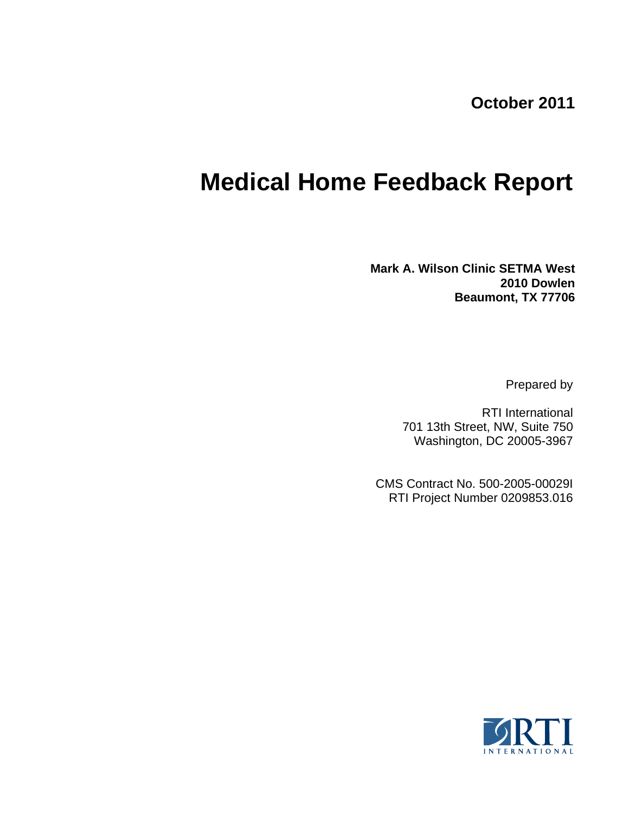**October 2011**

# **Medical Home Feedback Report**

**Mark A. Wilson Clinic SETMA West 2010 Dowlen Beaumont, TX 77706**

Prepared by

RTI International 701 13th Street, NW, Suite 750 Washington, DC 20005-3967

CMS Contract No. 500-2005-00029I RTI Project Number 0209853.016

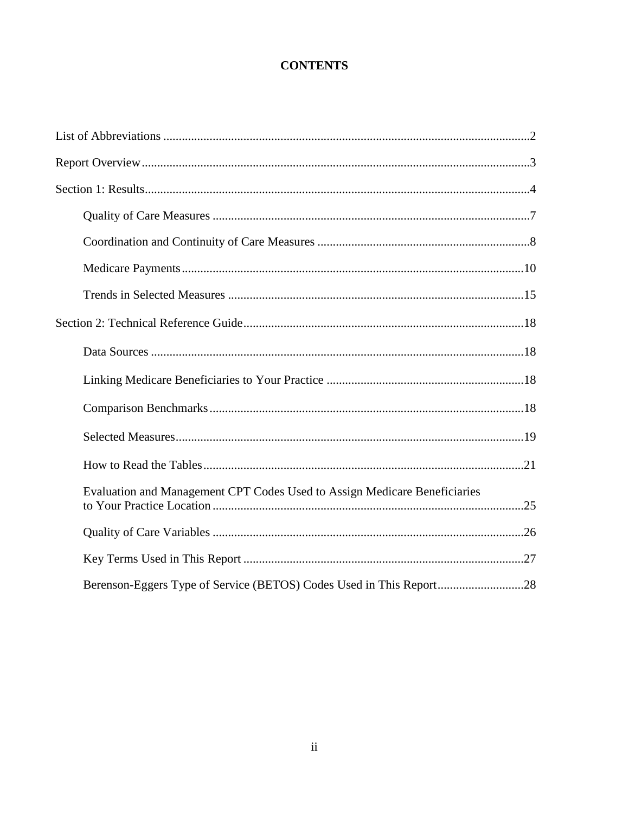# **CONTENTS**

| Evaluation and Management CPT Codes Used to Assign Medicare Beneficiaries |  |
|---------------------------------------------------------------------------|--|
|                                                                           |  |
|                                                                           |  |
|                                                                           |  |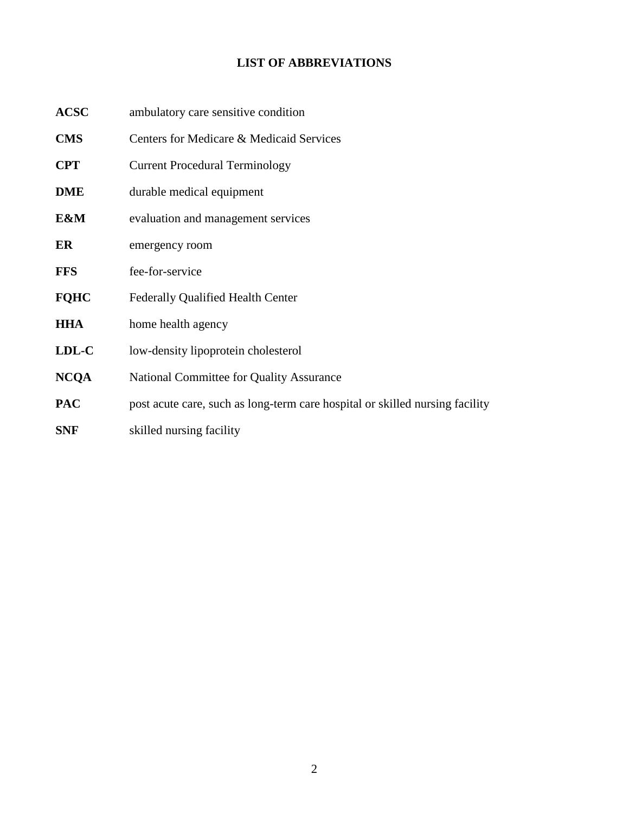# **LIST OF ABBREVIATIONS**

| <b>ACSC</b> | ambulatory care sensitive condition                                          |  |  |  |
|-------------|------------------------------------------------------------------------------|--|--|--|
| <b>CMS</b>  | Centers for Medicare & Medicaid Services                                     |  |  |  |
| <b>CPT</b>  | <b>Current Procedural Terminology</b>                                        |  |  |  |
| <b>DME</b>  | durable medical equipment                                                    |  |  |  |
| E&M         | evaluation and management services                                           |  |  |  |
| ER          | emergency room                                                               |  |  |  |
| <b>FFS</b>  | fee-for-service                                                              |  |  |  |
| <b>FQHC</b> | Federally Qualified Health Center                                            |  |  |  |
| <b>HHA</b>  | home health agency                                                           |  |  |  |
| LDL-C       | low-density lipoprotein cholesterol                                          |  |  |  |
| <b>NCQA</b> | National Committee for Quality Assurance                                     |  |  |  |
| <b>PAC</b>  | post acute care, such as long-term care hospital or skilled nursing facility |  |  |  |
| <b>SNF</b>  | skilled nursing facility                                                     |  |  |  |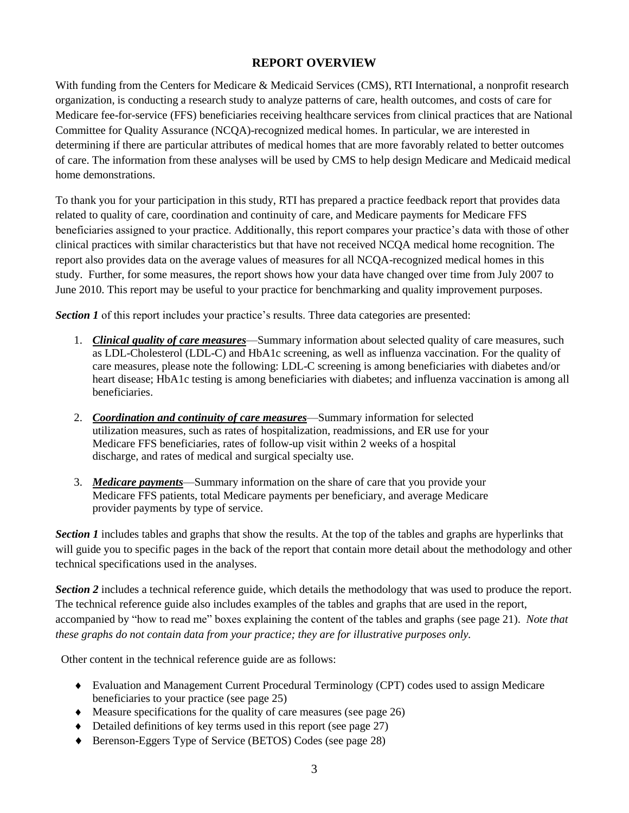# **REPORT OVERVIEW**

With funding from the Centers for Medicare & Medicaid Services (CMS), RTI International, a nonprofit research organization, is conducting a research study to analyze patterns of care, health outcomes, and costs of care for Medicare fee-for-service (FFS) beneficiaries receiving healthcare services from clinical practices that are National Committee for Quality Assurance (NCQA)-recognized medical homes. In particular, we are interested in determining if there are particular attributes of medical homes that are more favorably related to better outcomes of care. The information from these analyses will be used by CMS to help design Medicare and Medicaid medical home demonstrations.

To thank you for your participation in this study, RTI has prepared a practice feedback report that provides data related to quality of care, coordination and continuity of care, and Medicare payments for Medicare FFS beneficiaries assigned to your practice. Additionally, this report compares your practice's data with those of other clinical practices with similar characteristics but that have not received NCQA medical home recognition. The report also provides data on the average values of measures for all NCQA-recognized medical homes in this study. Further, for some measures, the report shows how your data have changed over time from July 2007 to June 2010. This report may be useful to your practice for benchmarking and quality improvement purposes.

**Section 1** of this report includes your practice's results. Three data categories are presented:

- 1. *Clinical quality of care measures*—Summary information about selected quality of care measures, such as LDL-Cholesterol (LDL-C) and HbA1c screening, as well as influenza vaccination. For the quality of care measures, please note the following: LDL-C screening is among beneficiaries with diabetes and/or heart disease; HbA1c testing is among beneficiaries with diabetes; and influenza vaccination is among all beneficiaries.
- 2. *Coordination and continuity of care measures*—Summary information for selected utilization measures, such as rates of hospitalization, readmissions, and ER use for your Medicare FFS beneficiaries, rates of follow-up visit within 2 weeks of a hospital discharge, and rates of medical and surgical specialty use.
- 3. *Medicare payments*—Summary information on the share of care that you provide your Medicare FFS patients, total Medicare payments per beneficiary, and average Medicare provider payments by type of service.

*Section 1* includes tables and graphs that show the results. At the top of the tables and graphs are hyperlinks that will guide you to specific pages in the back of the report that contain more detail about the methodology and other technical specifications used in the analyses.

*Section 2* includes a technical reference guide, which details the methodology that was used to produce the report. The technical reference guide also includes examples of the tables and graphs that are used in the report, accompanied by "how to read me" boxes explaining the content of the tables and graphs (see page 21). *Note that these graphs do not contain data from your practice; they are for illustrative purposes only.*

Other content in the technical reference guide are as follows:

- Evaluation and Management Current Procedural Terminology (CPT) codes used to assign Medicare beneficiaries to your practice (see page 25)
- $\blacklozenge$  Measure specifications for the quality of care measures (see page 26)
- $\blacklozenge$  Detailed definitions of key terms used in this report (see page 27)
- ◆ Berenson-Eggers Type of Service (BETOS) Codes (see page 28)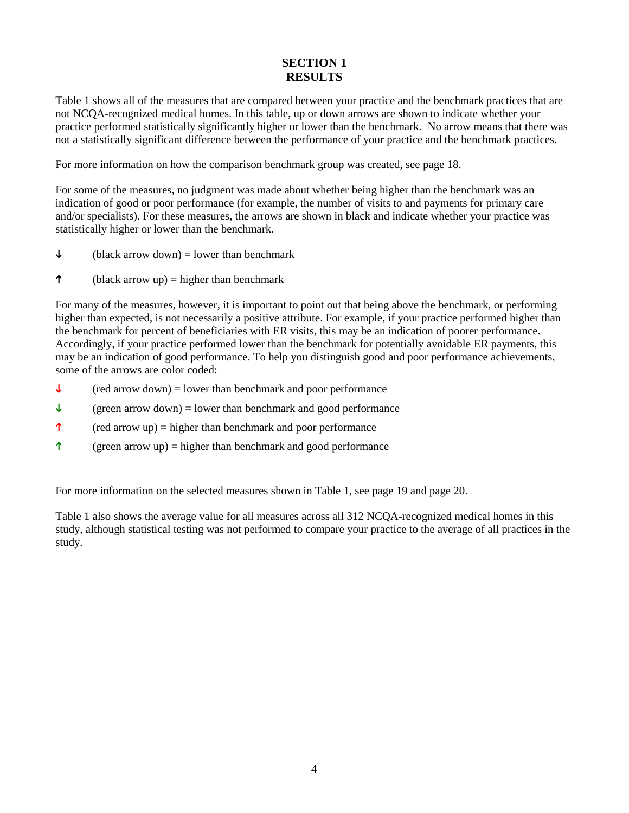# **SECTION 1 RESULTS**

Table 1 shows all of the measures that are compared between your practice and the benchmark practices that are not NCQA-recognized medical homes. In this table, up or down arrows are shown to indicate whether your practice performed statistically significantly higher or lower than the benchmark. No arrow means that there was not a statistically significant difference between the performance of your practice and the benchmark practices.

For more information on how the comparison benchmark group was created, see page 18.

For some of the measures, no judgment was made about whether being higher than the benchmark was an indication of good or poor performance (for example, the number of visits to and payments for primary care and/or specialists). For these measures, the arrows are shown in black and indicate whether your practice was statistically higher or lower than the benchmark.

- $\downarrow$  (black arrow down) = lower than benchmark
- $\uparrow$  (black arrow up) = higher than benchmark

For many of the measures, however, it is important to point out that being above the benchmark, or performing higher than expected, is not necessarily a positive attribute. For example, if your practice performed higher than the benchmark for percent of beneficiaries with ER visits, this may be an indication of poorer performance. Accordingly, if your practice performed lower than the benchmark for potentially avoidable ER payments, this may be an indication of good performance. To help you distinguish good and poor performance achievements, some of the arrows are color coded:

- $\downarrow$  (red arrow down) = lower than benchmark and poor performance
- $\downarrow$  (green arrow down) = lower than benchmark and good performance
- $\uparrow$  (red arrow up) = higher than benchmark and poor performance
- $\uparrow$  (green arrow up) = higher than benchmark and good performance

For more information on the selected measures shown in Table 1, see page 19 and page 20.

Table 1 also shows the average value for all measures across all 312 NCQA-recognized medical homes in this study, although statistical testing was not performed to compare your practice to the average of all practices in the study.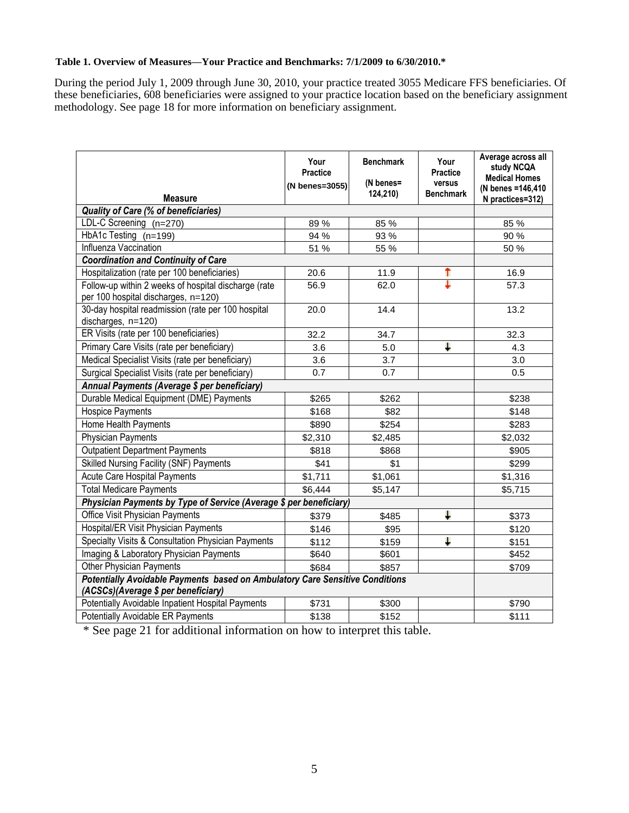#### **Table 1. Overview of Measures—Your Practice and Benchmarks: 7/1/2009 to 6/30/2010.\***

During the period July 1, 2009 through June 30, 2010, your practice treated 3055 Medicare FFS beneficiaries. Of these beneficiaries, 608 beneficiaries were assigned to your practice location based on the beneficiary assignment methodology. See page 18 for more information on beneficiary assignment.

| <b>Measure</b>                                                                                                      | Your<br><b>Practice</b><br>(N benes=3055) | <b>Benchmark</b><br>(N benes=<br>124,210) | Your<br><b>Practice</b><br>versus<br><b>Benchmark</b> | Average across all<br>study NCQA<br><b>Medical Homes</b><br>(N benes = 146,410)<br>N practices=312) |
|---------------------------------------------------------------------------------------------------------------------|-------------------------------------------|-------------------------------------------|-------------------------------------------------------|-----------------------------------------------------------------------------------------------------|
| <b>Quality of Care (% of beneficiaries)</b>                                                                         |                                           |                                           |                                                       |                                                                                                     |
| LDL-C Screening (n=270)                                                                                             | 89%                                       | 85 %                                      |                                                       | 85 %                                                                                                |
| HbA1c Testing (n=199)                                                                                               | 94 %                                      | 93 %                                      |                                                       | 90 %                                                                                                |
| Influenza Vaccination                                                                                               | 51 %                                      | 55 %                                      |                                                       | 50 %                                                                                                |
| <b>Coordination and Continuity of Care</b>                                                                          |                                           |                                           |                                                       |                                                                                                     |
| Hospitalization (rate per 100 beneficiaries)                                                                        | 20.6                                      | 11.9                                      | ↑                                                     | 16.9                                                                                                |
| Follow-up within 2 weeks of hospital discharge (rate<br>per 100 hospital discharges, n=120)                         | 56.9                                      | 62.0                                      | ┶                                                     | 57.3                                                                                                |
| 30-day hospital readmission (rate per 100 hospital<br>discharges, n=120)                                            | 20.0                                      | 14.4                                      |                                                       | 13.2                                                                                                |
| ER Visits (rate per 100 beneficiaries)                                                                              | 32.2                                      | 34.7                                      |                                                       | 32.3                                                                                                |
| Primary Care Visits (rate per beneficiary)                                                                          | 3.6                                       | 5.0                                       | Ш                                                     | 4.3                                                                                                 |
| Medical Specialist Visits (rate per beneficiary)                                                                    | 3.6                                       | 3.7                                       |                                                       | 3.0                                                                                                 |
| Surgical Specialist Visits (rate per beneficiary)                                                                   | 0.7                                       | 0.7                                       |                                                       | 0.5                                                                                                 |
| Annual Payments (Average \$ per beneficiary)                                                                        |                                           |                                           |                                                       |                                                                                                     |
| Durable Medical Equipment (DME) Payments                                                                            | \$265                                     | \$262                                     |                                                       | \$238                                                                                               |
| Hospice Payments                                                                                                    | \$168                                     | \$82                                      |                                                       | \$148                                                                                               |
| Home Health Payments                                                                                                | \$890                                     | \$254                                     |                                                       | \$283                                                                                               |
| <b>Physician Payments</b>                                                                                           | \$2,310                                   | \$2,485                                   |                                                       | \$2,032                                                                                             |
| <b>Outpatient Department Payments</b>                                                                               | \$818                                     | \$868                                     |                                                       | \$905                                                                                               |
| <b>Skilled Nursing Facility (SNF) Payments</b>                                                                      | \$41                                      | \$1                                       |                                                       | \$299                                                                                               |
| <b>Acute Care Hospital Payments</b>                                                                                 | \$1,711                                   | \$1,061                                   |                                                       | \$1,316                                                                                             |
| <b>Total Medicare Payments</b>                                                                                      | \$6,444                                   | \$5,147                                   |                                                       | \$5,715                                                                                             |
| Physician Payments by Type of Service (Average \$ per beneficiary)                                                  |                                           |                                           |                                                       |                                                                                                     |
| Office Visit Physician Payments                                                                                     | \$379                                     | \$485                                     | Ļ                                                     | \$373                                                                                               |
| Hospital/ER Visit Physician Payments                                                                                | \$146                                     | \$95                                      |                                                       | \$120                                                                                               |
| Specialty Visits & Consultation Physician Payments                                                                  | \$112                                     | \$159                                     | J.                                                    | \$151                                                                                               |
| Imaging & Laboratory Physician Payments                                                                             | \$640                                     | \$601                                     |                                                       | \$452                                                                                               |
| Other Physician Payments                                                                                            | \$684                                     | \$857                                     |                                                       | \$709                                                                                               |
| Potentially Avoidable Payments based on Ambulatory Care Sensitive Conditions<br>(ACSCs)(Average \$ per beneficiary) |                                           |                                           |                                                       |                                                                                                     |
| Potentially Avoidable Inpatient Hospital Payments                                                                   | \$731                                     | \$300                                     |                                                       | \$790                                                                                               |
| Potentially Avoidable ER Payments                                                                                   | \$138                                     | \$152                                     |                                                       | \$111                                                                                               |

\* See page 21 for additional information on how to interpret this table.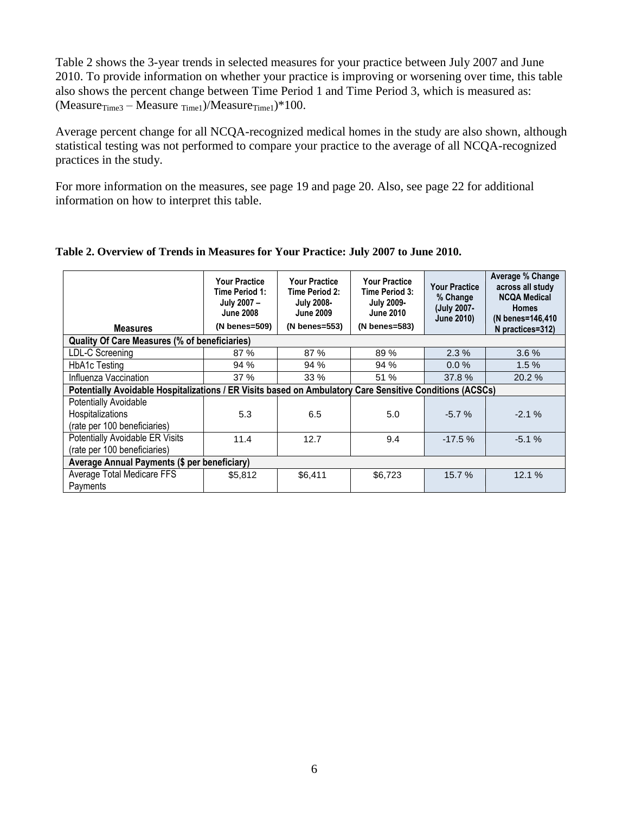Table 2 shows the 3-year trends in selected measures for your practice between July 2007 and June 2010. To provide information on whether your practice is improving or worsening over time, this table also shows the percent change between Time Period 1 and Time Period 3, which is measured as:  $(Measure_{Time3} - Measure_{Time1})/Measure_{Time1})*100.$ 

Average percent change for all NCQA-recognized medical homes in the study are also shown, although statistical testing was not performed to compare your practice to the average of all NCQA-recognized practices in the study.

For more information on the measures, see page 19 and page 20. Also, see page 22 for additional information on how to interpret this table.

| <b>Measures</b>                                                                                          | <b>Your Practice</b><br>Time Period 1:<br>July 2007-<br><b>June 2008</b><br>(N benes=509) | <b>Your Practice</b><br>Time Period 2:<br><b>July 2008-</b><br><b>June 2009</b><br>(N benes=553) | <b>Your Practice</b><br>Time Period 3:<br><b>July 2009-</b><br><b>June 2010</b><br>(N benes=583) | <b>Your Practice</b><br>% Change<br>(July 2007-<br><b>June 2010)</b> | <b>Average % Change</b><br>across all study<br><b>NCQA Medical</b><br><b>Homes</b><br>(N benes=146,410<br>N practices=312) |
|----------------------------------------------------------------------------------------------------------|-------------------------------------------------------------------------------------------|--------------------------------------------------------------------------------------------------|--------------------------------------------------------------------------------------------------|----------------------------------------------------------------------|----------------------------------------------------------------------------------------------------------------------------|
| <b>Quality Of Care Measures (% of beneficiaries)</b>                                                     |                                                                                           |                                                                                                  |                                                                                                  |                                                                      |                                                                                                                            |
| LDL-C Screening                                                                                          | 87 %                                                                                      | 87 %                                                                                             | 89 %                                                                                             | 2.3%                                                                 | 3.6%                                                                                                                       |
| <b>HbA1c Testing</b>                                                                                     | 94 %                                                                                      | 94%                                                                                              | 94%                                                                                              | $0.0 \%$                                                             | 1.5%                                                                                                                       |
| Influenza Vaccination                                                                                    | 37 %                                                                                      | 33 %                                                                                             | 51 %                                                                                             | 37.8%                                                                | 20.2%                                                                                                                      |
| Potentially Avoidable Hospitalizations / ER Visits based on Ambulatory Care Sensitive Conditions (ACSCs) |                                                                                           |                                                                                                  |                                                                                                  |                                                                      |                                                                                                                            |
| <b>Potentially Avoidable</b><br>Hospitalizations                                                         | 5.3                                                                                       | 6.5                                                                                              | 5.0                                                                                              | $-5.7%$                                                              | $-2.1%$                                                                                                                    |
| (rate per 100 beneficiaries)                                                                             |                                                                                           |                                                                                                  |                                                                                                  |                                                                      |                                                                                                                            |
| Potentially Avoidable ER Visits<br>(rate per 100 beneficiaries)                                          | 11.4                                                                                      | 12.7                                                                                             | 9.4                                                                                              | $-17.5%$                                                             | $-5.1%$                                                                                                                    |
| Average Annual Payments (\$ per beneficiary)                                                             |                                                                                           |                                                                                                  |                                                                                                  |                                                                      |                                                                                                                            |
| Average Total Medicare FFS<br>Payments                                                                   | \$5,812                                                                                   | \$6,411                                                                                          | \$6,723                                                                                          | 15.7 %                                                               | 12.1 %                                                                                                                     |

## **Table 2. Overview of Trends in Measures for Your Practice: July 2007 to June 2010.**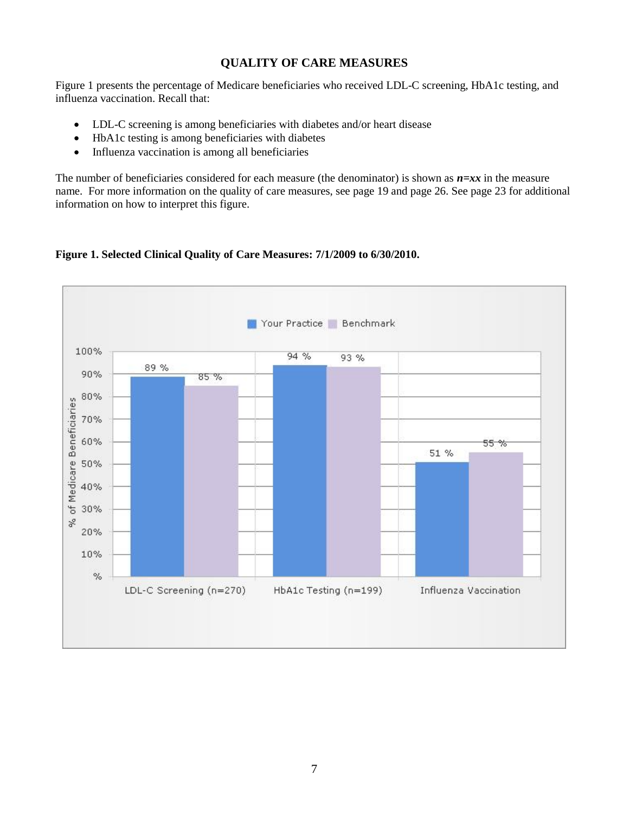# **QUALITY OF CARE MEASURES**

Figure 1 presents the percentage of Medicare beneficiaries who received LDL-C screening, HbA1c testing, and influenza vaccination. Recall that:

- LDL-C screening is among beneficiaries with diabetes and/or heart disease
- HbA1c testing is among beneficiaries with diabetes
- Influenza vaccination is among all beneficiaries

The number of beneficiaries considered for each measure (the denominator) is shown as  $n=xx$  in the measure name. For more information on the quality of care measures, see page 19 and page 26. See page 23 for additional information on how to interpret this figure.

**Figure 1. Selected Clinical Quality of Care Measures: 7/1/2009 to 6/30/2010.** 

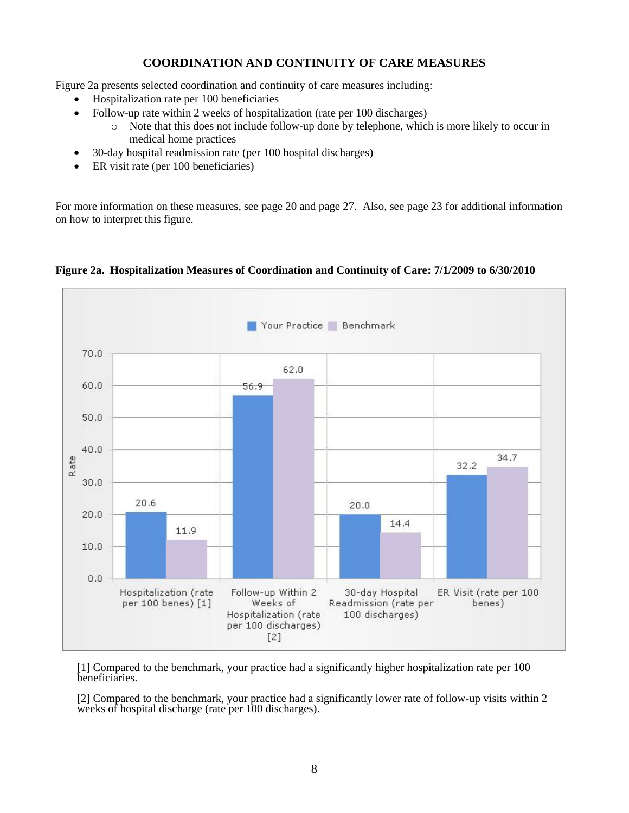# **COORDINATION AND CONTINUITY OF CARE MEASURES**

Figure 2a presents selected coordination and continuity of care measures including:

- Hospitalization rate per 100 beneficiaries
- Follow-up rate within 2 weeks of hospitalization (rate per 100 discharges)
	- o Note that this does not include follow-up done by telephone, which is more likely to occur in medical home practices
- 30-day hospital readmission rate (per 100 hospital discharges)
- ER visit rate (per 100 beneficiaries)

For more information on these measures, see page 20 and page 27. Also, see page 23 for additional information on how to interpret this figure.



## **Figure 2a. Hospitalization Measures of Coordination and Continuity of Care: 7/1/2009 to 6/30/2010**

[1] Compared to the benchmark, your practice had a significantly higher hospitalization rate per 100 beneficiaries.

[2] Compared to the benchmark, your practice had a significantly lower rate of follow-up visits within 2 weeks of hospital discharge (rate per 100 discharges).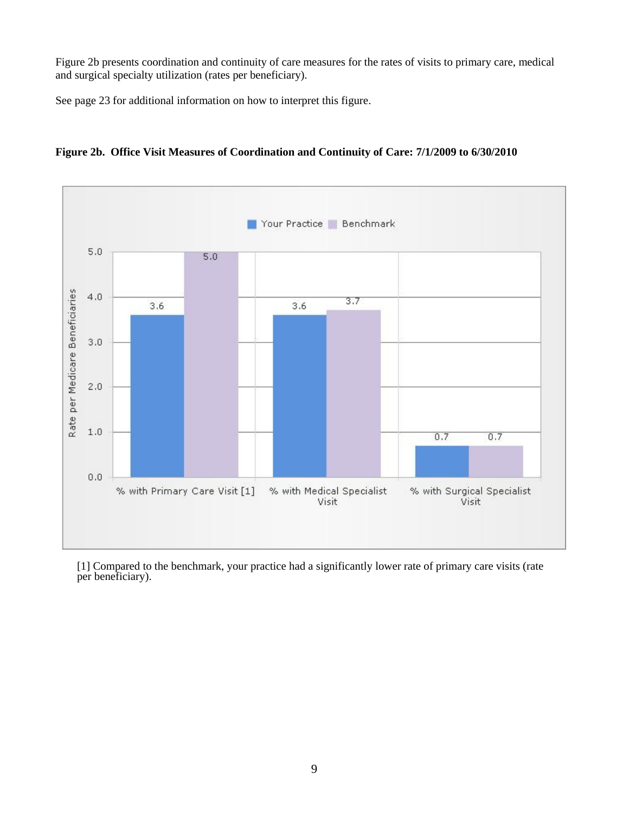Figure 2b presents coordination and continuity of care measures for the rates of visits to primary care, medical and surgical specialty utilization (rates per beneficiary).

See page 23 for additional information on how to interpret this figure.



**Figure 2b. Office Visit Measures of Coordination and Continuity of Care: 7/1/2009 to 6/30/2010**

[1] Compared to the benchmark, your practice had a significantly lower rate of primary care visits (rate per beneficiary).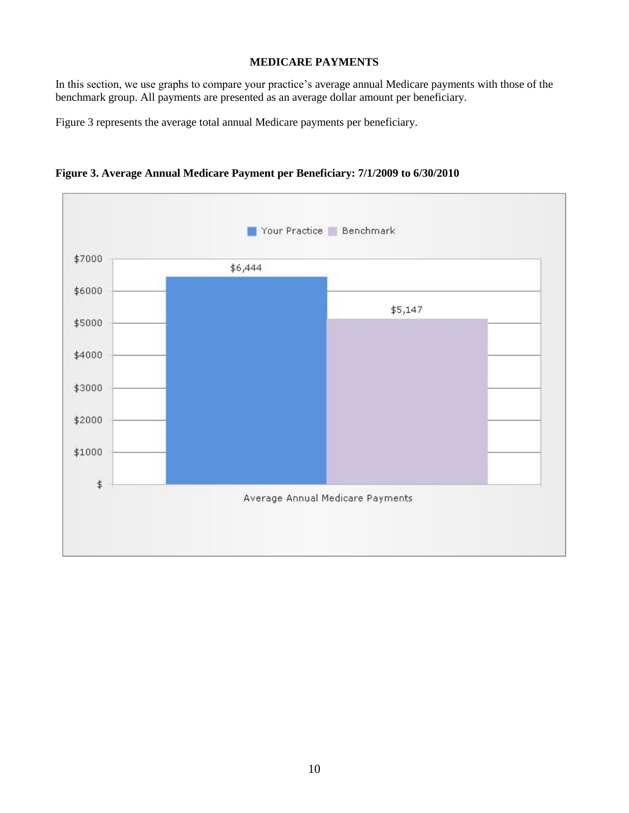## **MEDICARE PAYMENTS**

In this section, we use graphs to compare your practice's average annual Medicare payments with those of the benchmark group. All payments are presented as an average dollar amount per beneficiary.

Figure 3 represents the average total annual Medicare payments per beneficiary.



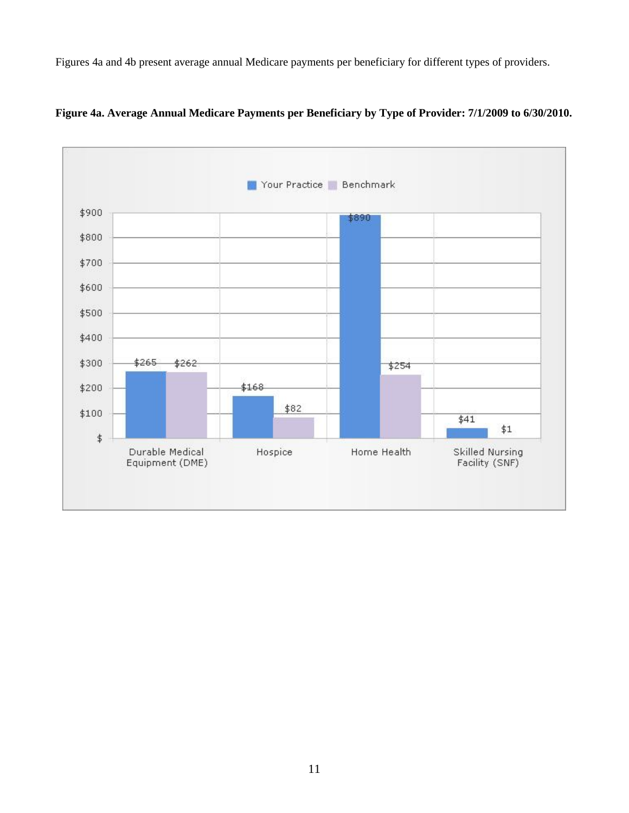Figures 4a and 4b present average annual Medicare payments per beneficiary for different types of providers.



**Figure 4a. Average Annual Medicare Payments per Beneficiary by Type of Provider: 7/1/2009 to 6/30/2010.**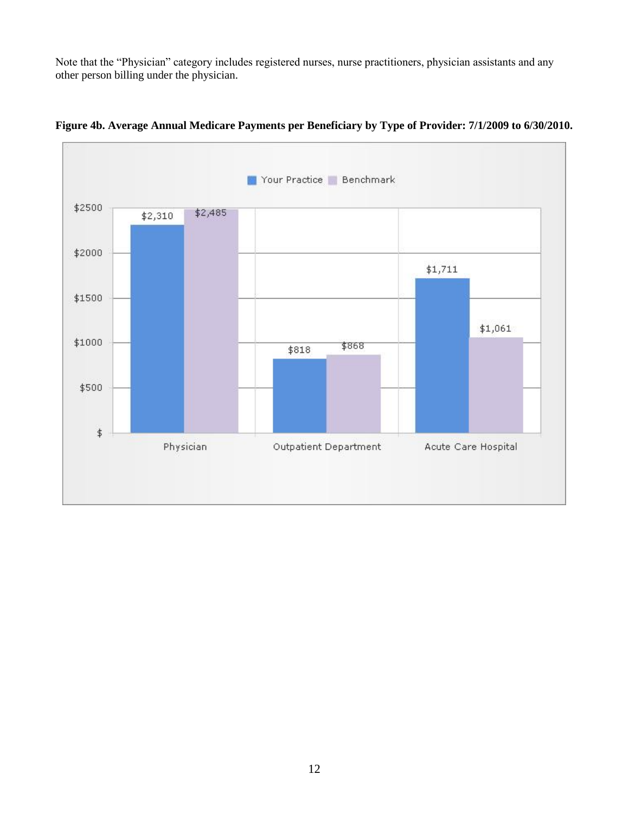Note that the "Physician" category includes registered nurses, nurse practitioners, physician assistants and any other person billing under the physician.



**Figure 4b. Average Annual Medicare Payments per Beneficiary by Type of Provider: 7/1/2009 to 6/30/2010.**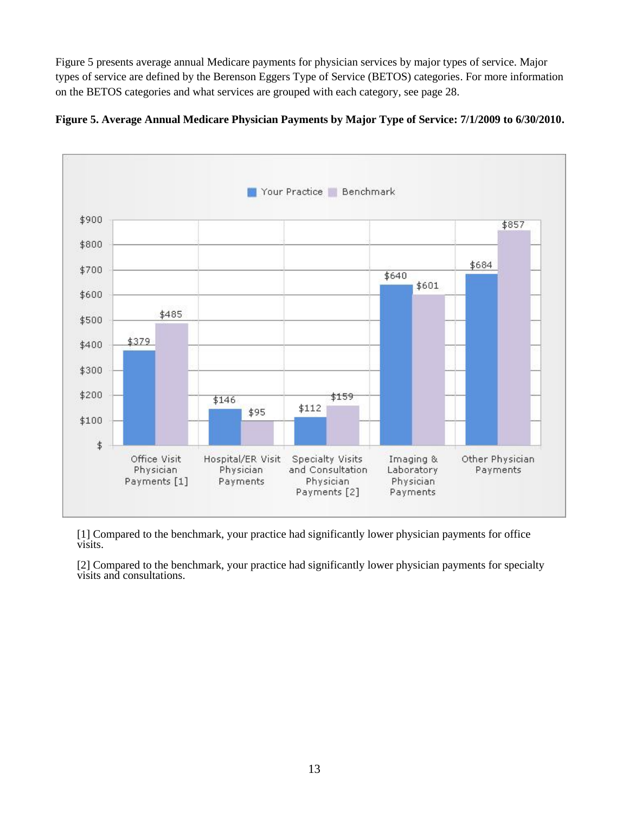Figure 5 presents average annual Medicare payments for physician services by major types of service. Major types of service are defined by the Berenson Eggers Type of Service (BETOS) categories. For more information on the BETOS categories and what services are grouped with each category, see page 28.



**Figure 5. Average Annual Medicare Physician Payments by Major Type of Service: 7/1/2009 to 6/30/2010.**

[1] Compared to the benchmark, your practice had significantly lower physician payments for office visits.

[2] Compared to the benchmark, your practice had significantly lower physician payments for specialty visits and consultations.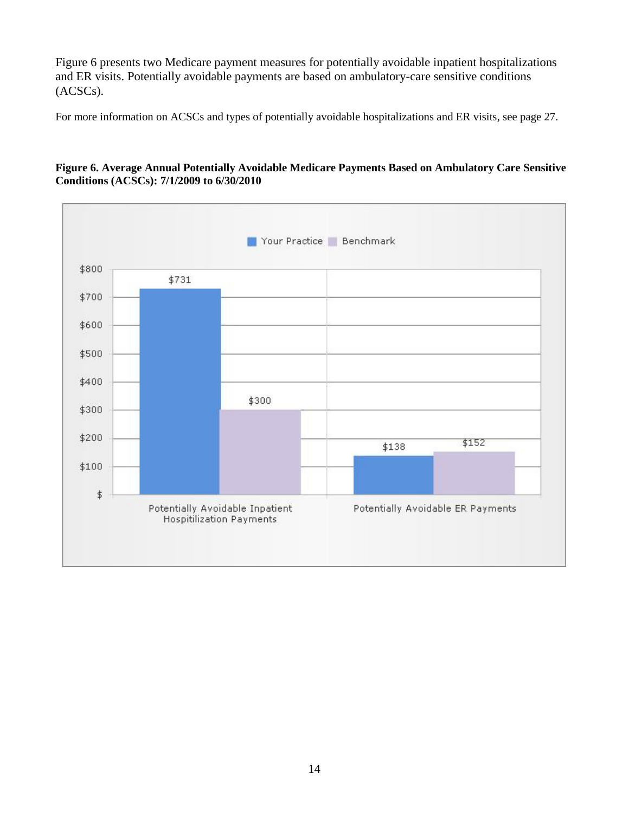Figure 6 presents two Medicare payment measures for potentially avoidable inpatient hospitalizations and ER visits. Potentially avoidable payments are based on ambulatory-care sensitive conditions (ACSCs).

For more information on ACSCs and types of potentially avoidable hospitalizations and ER visits, see page 27.

#### **Figure 6. Average Annual Potentially Avoidable Medicare Payments Based on Ambulatory Care Sensitive Conditions (ACSCs): 7/1/2009 to 6/30/2010**

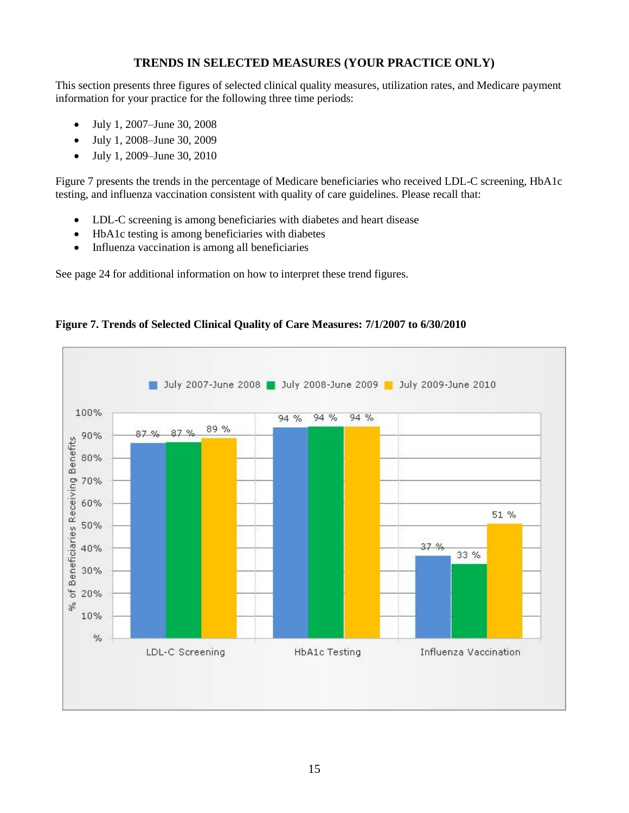# **TRENDS IN SELECTED MEASURES (YOUR PRACTICE ONLY)**

This section presents three figures of selected clinical quality measures, utilization rates, and Medicare payment information for your practice for the following three time periods:

- July 1, 2007–June 30, 2008
- July 1, 2008–June 30, 2009
- July 1, 2009–June 30, 2010

Figure 7 presents the trends in the percentage of Medicare beneficiaries who received LDL-C screening, HbA1c testing, and influenza vaccination consistent with quality of care guidelines. Please recall that:

- LDL-C screening is among beneficiaries with diabetes and heart disease
- HbA1c testing is among beneficiaries with diabetes
- Influenza vaccination is among all beneficiaries

See page 24 for additional information on how to interpret these trend figures.



### **Figure 7. Trends of Selected Clinical Quality of Care Measures: 7/1/2007 to 6/30/2010**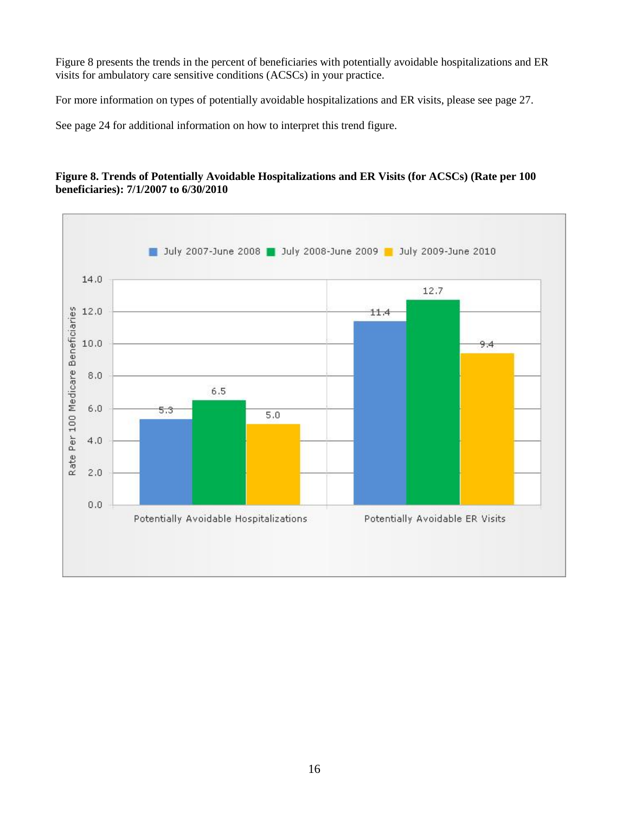Figure 8 presents the trends in the percent of beneficiaries with potentially avoidable hospitalizations and ER visits for ambulatory care sensitive conditions (ACSCs) in your practice.

For more information on types of potentially avoidable hospitalizations and ER visits, please see page 27.

See page 24 for additional information on how to interpret this trend figure.

#### **Figure 8. Trends of Potentially Avoidable Hospitalizations and ER Visits (for ACSCs) (Rate per 100 beneficiaries): 7/1/2007 to 6/30/2010**

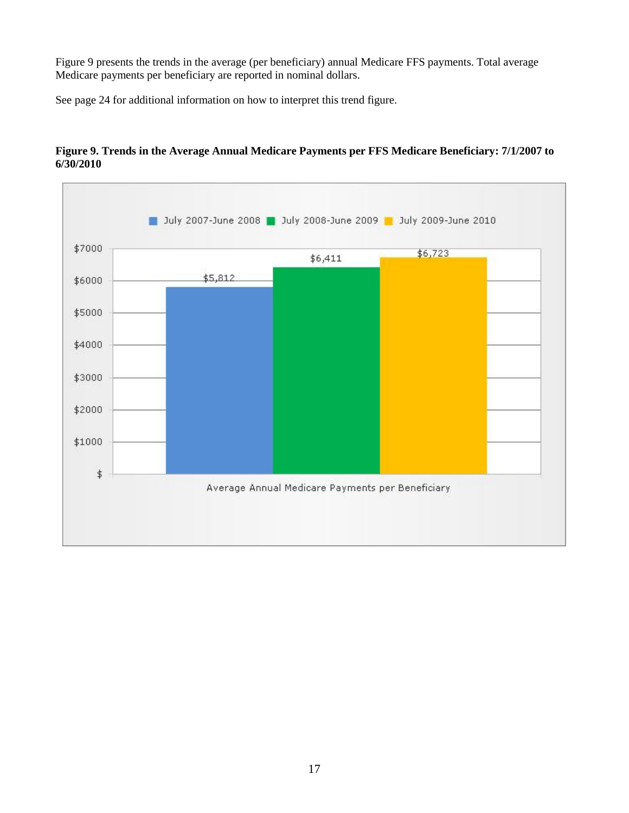Figure 9 presents the trends in the average (per beneficiary) annual Medicare FFS payments. Total average Medicare payments per beneficiary are reported in nominal dollars.

See page 24 for additional information on how to interpret this trend figure.



## **Figure 9. Trends in the Average Annual Medicare Payments per FFS Medicare Beneficiary: 7/1/2007 to 6/30/2010**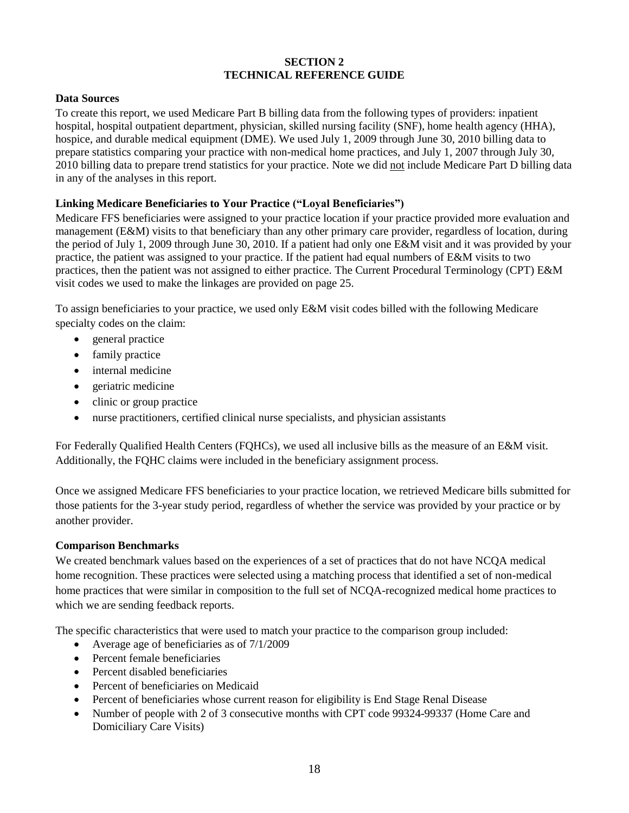#### **SECTION 2 TECHNICAL REFERENCE GUIDE**

## **Data Sources**

To create this report, we used Medicare Part B billing data from the following types of providers: inpatient hospital, hospital outpatient department, physician, skilled nursing facility (SNF), home health agency (HHA), hospice, and durable medical equipment (DME). We used July 1, 2009 through June 30, 2010 billing data to prepare statistics comparing your practice with non-medical home practices, and July 1, 2007 through July 30, 2010 billing data to prepare trend statistics for your practice. Note we did not include Medicare Part D billing data in any of the analyses in this report.

## **Linking Medicare Beneficiaries to Your Practice ("Loyal Beneficiaries")**

Medicare FFS beneficiaries were assigned to your practice location if your practice provided more evaluation and management (E&M) visits to that beneficiary than any other primary care provider, regardless of location, during the period of July 1, 2009 through June 30, 2010. If a patient had only one E&M visit and it was provided by your practice, the patient was assigned to your practice. If the patient had equal numbers of E&M visits to two practices, then the patient was not assigned to either practice. The Current Procedural Terminology (CPT) E&M visit codes we used to make the linkages are provided on page 25.

To assign beneficiaries to your practice, we used only E&M visit codes billed with the following Medicare specialty codes on the claim:

- general practice
- family practice
- internal medicine
- geriatric medicine
- clinic or group practice
- nurse practitioners, certified clinical nurse specialists, and physician assistants

For Federally Qualified Health Centers (FQHCs), we used all inclusive bills as the measure of an E&M visit. Additionally, the FQHC claims were included in the beneficiary assignment process.

Once we assigned Medicare FFS beneficiaries to your practice location, we retrieved Medicare bills submitted for those patients for the 3-year study period, regardless of whether the service was provided by your practice or by another provider.

#### **Comparison Benchmarks**

We created benchmark values based on the experiences of a set of practices that do not have NCQA medical home recognition. These practices were selected using a matching process that identified a set of non-medical home practices that were similar in composition to the full set of NCQA-recognized medical home practices to which we are sending feedback reports.

The specific characteristics that were used to match your practice to the comparison group included:

- Average age of beneficiaries as of 7/1/2009
- Percent female beneficiaries
- Percent disabled beneficiaries
- Percent of beneficiaries on Medicaid
- Percent of beneficiaries whose current reason for eligibility is End Stage Renal Disease
- Number of people with 2 of 3 consecutive months with CPT code 99324-99337 (Home Care and Domiciliary Care Visits)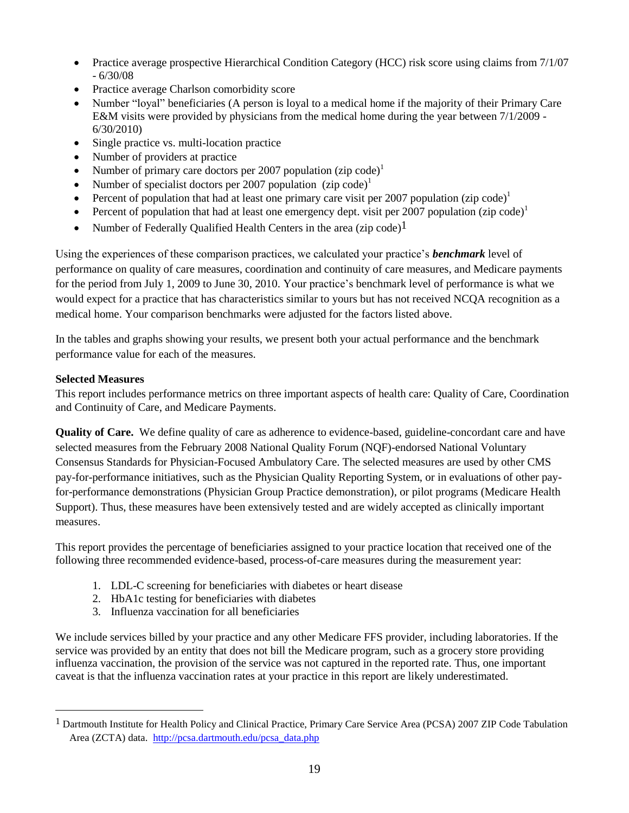- Practice average prospective Hierarchical Condition Category (HCC) risk score using claims from 7/1/07 - 6/30/08
- Practice average Charlson comorbidity score
- Number "loyal" beneficiaries (A person is loyal to a medical home if the majority of their Primary Care E&M visits were provided by physicians from the medical home during the year between 7/1/2009 - 6/30/2010)
- Single practice vs. multi-location practice
- Number of providers at practice
- Number of primary care doctors per 2007 population  $(zip code)^1$
- Number of specialist doctors per 2007 population  $(zip code)^1$
- Percent of population that had at least one primary care visit per 2007 population (zip code)<sup>1</sup>
- **•** Percent of population that had at least one emergency dept. visit per 2007 population (zip code)<sup>1</sup>
- Number of Federally Qualified Health Centers in the area (zip code)<sup>1</sup>

Using the experiences of these comparison practices, we calculated your practice's *benchmark* level of performance on quality of care measures, coordination and continuity of care measures, and Medicare payments for the period from July 1, 2009 to June 30, 2010. Your practice's benchmark level of performance is what we would expect for a practice that has characteristics similar to yours but has not received NCQA recognition as a medical home. Your comparison benchmarks were adjusted for the factors listed above.

In the tables and graphs showing your results, we present both your actual performance and the benchmark performance value for each of the measures.

### **Selected Measures**

 $\overline{a}$ 

This report includes performance metrics on three important aspects of health care: Quality of Care, Coordination and Continuity of Care, and Medicare Payments.

**Quality of Care.** We define quality of care as adherence to evidence-based, guideline-concordant care and have selected measures from the February 2008 National Quality Forum (NQF)-endorsed National Voluntary Consensus Standards for Physician-Focused Ambulatory Care. The selected measures are used by other CMS pay-for-performance initiatives, such as the Physician Quality Reporting System, or in evaluations of other payfor-performance demonstrations (Physician Group Practice demonstration), or pilot programs (Medicare Health Support). Thus, these measures have been extensively tested and are widely accepted as clinically important measures.

This report provides the percentage of beneficiaries assigned to your practice location that received one of the following three recommended evidence-based, process-of-care measures during the measurement year:

- 1. LDL-C screening for beneficiaries with diabetes or heart disease
- 2. HbA1c testing for beneficiaries with diabetes
- 3. Influenza vaccination for all beneficiaries

We include services billed by your practice and any other Medicare FFS provider, including laboratories. If the service was provided by an entity that does not bill the Medicare program, such as a grocery store providing influenza vaccination, the provision of the service was not captured in the reported rate. Thus, one important caveat is that the influenza vaccination rates at your practice in this report are likely underestimated.

<sup>&</sup>lt;sup>1</sup> Dartmouth Institute for Health Policy and Clinical Practice, Primary Care Service Area (PCSA) 2007 ZIP Code Tabulation Area (ZCTA) data. http://pcsa.dartmouth.edu/pcsa\_data.php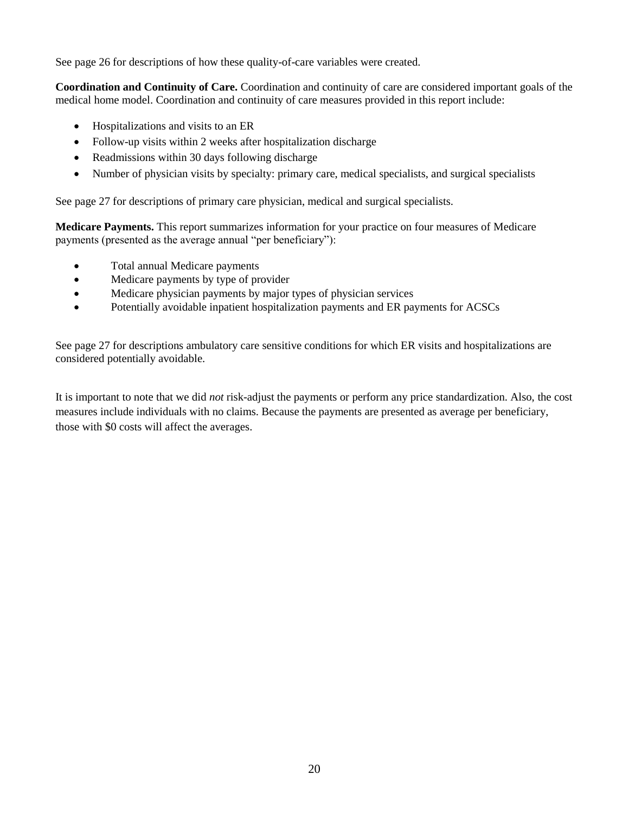See page 26 for descriptions of how these quality-of-care variables were created.

**Coordination and Continuity of Care.** Coordination and continuity of care are considered important goals of the medical home model. Coordination and continuity of care measures provided in this report include:

- Hospitalizations and visits to an ER
- Follow-up visits within 2 weeks after hospitalization discharge
- Readmissions within 30 days following discharge
- Number of physician visits by specialty: primary care, medical specialists, and surgical specialists

See page 27 for descriptions of primary care physician, medical and surgical specialists.

**Medicare Payments.** This report summarizes information for your practice on four measures of Medicare payments (presented as the average annual "per beneficiary"):

- Total annual Medicare payments
- Medicare payments by type of provider
- Medicare physician payments by major types of physician services
- Potentially avoidable inpatient hospitalization payments and ER payments for ACSCs

See page 27 for descriptions ambulatory care sensitive conditions for which ER visits and hospitalizations are considered potentially avoidable.

It is important to note that we did *not* risk-adjust the payments or perform any price standardization. Also, the cost measures include individuals with no claims. Because the payments are presented as average per beneficiary, those with \$0 costs will affect the averages.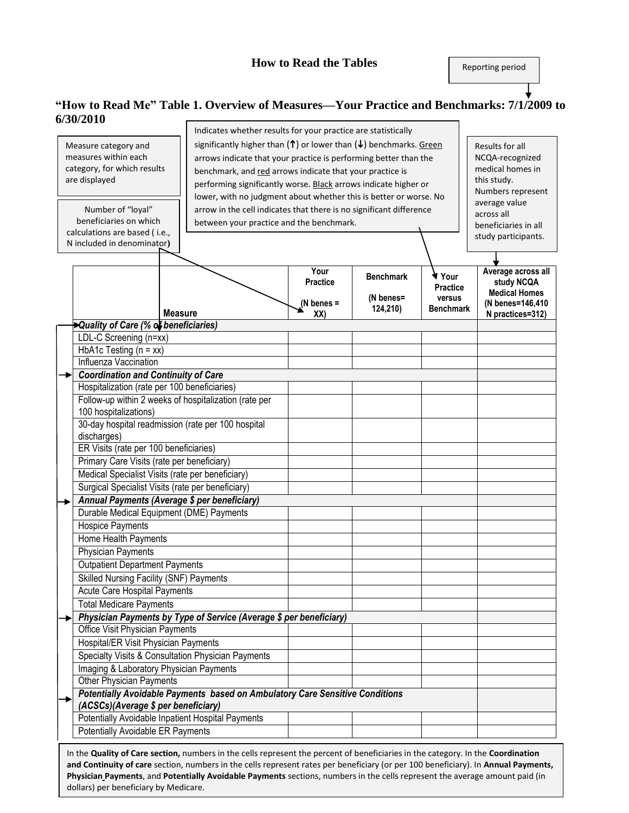Reporting period

## **"How to Read Me" Table 1. Overview of Measures—Your Practice and Benchmarks: 7/1/2009 to 6/30/2010**

|                                      |                                                                                                               | Indicates whether results for your practice are statistically                                                                        |                 |                       |                            |                      |
|--------------------------------------|---------------------------------------------------------------------------------------------------------------|--------------------------------------------------------------------------------------------------------------------------------------|-----------------|-----------------------|----------------------------|----------------------|
|                                      | significantly higher than $(\uparrow)$ or lower than $(\downarrow)$ benchmarks. Green<br>Measure category and |                                                                                                                                      |                 |                       | Results for all            |                      |
|                                      | measures within each                                                                                          | arrows indicate that your practice is performing better than the                                                                     |                 |                       |                            | NCQA-recognized      |
|                                      | category, for which results                                                                                   | benchmark, and red arrows indicate that your practice is                                                                             |                 |                       |                            | medical homes in     |
|                                      | are displayed                                                                                                 |                                                                                                                                      |                 |                       |                            | this study.          |
|                                      |                                                                                                               | performing significantly worse. Black arrows indicate higher or<br>lower, with no judgment about whether this is better or worse. No |                 |                       |                            | Numbers represent    |
|                                      |                                                                                                               |                                                                                                                                      |                 |                       |                            | average value        |
|                                      | arrow in the cell indicates that there is no significant difference<br>Number of "loyal"                      |                                                                                                                                      |                 |                       | across all                 |                      |
|                                      | beneficiaries on which<br>calculations are based (i.e.,                                                       | between your practice and the benchmark.                                                                                             |                 |                       |                            | beneficiaries in all |
|                                      | N included in denominator)                                                                                    |                                                                                                                                      |                 |                       |                            | study participants.  |
|                                      |                                                                                                               |                                                                                                                                      |                 |                       |                            |                      |
|                                      |                                                                                                               |                                                                                                                                      | Your            |                       |                            | Average across all   |
|                                      |                                                                                                               |                                                                                                                                      | <b>Practice</b> | <b>Benchmark</b>      | ¶ Your                     | study NCQA           |
|                                      |                                                                                                               |                                                                                                                                      |                 |                       | <b>Practice</b>            | <b>Medical Homes</b> |
|                                      |                                                                                                               |                                                                                                                                      | (N benes $=$    | (N benes=<br>124,210) | versus<br><b>Benchmark</b> | (N benes=146,410     |
|                                      | <b>Measure</b>                                                                                                |                                                                                                                                      | XX)             |                       |                            | N practices=312)     |
|                                      | Quality of Care (% of beneficiaries)                                                                          |                                                                                                                                      |                 |                       |                            |                      |
|                                      | LDL-C Screening (n=xx)                                                                                        |                                                                                                                                      |                 |                       |                            |                      |
|                                      | HbA1c Testing $(n = xx)$                                                                                      |                                                                                                                                      |                 |                       |                            |                      |
|                                      | Influenza Vaccination                                                                                         |                                                                                                                                      |                 |                       |                            |                      |
|                                      | Coordination and Continuity of Care                                                                           |                                                                                                                                      |                 |                       |                            |                      |
|                                      | Hospitalization (rate per 100 beneficiaries)                                                                  |                                                                                                                                      |                 |                       |                            |                      |
|                                      | Follow-up within 2 weeks of hospitalization (rate per                                                         |                                                                                                                                      |                 |                       |                            |                      |
|                                      | 100 hospitalizations)                                                                                         |                                                                                                                                      |                 |                       |                            |                      |
|                                      | 30-day hospital readmission (rate per 100 hospital                                                            |                                                                                                                                      |                 |                       |                            |                      |
|                                      | discharges)                                                                                                   |                                                                                                                                      |                 |                       |                            |                      |
|                                      |                                                                                                               | ER Visits (rate per 100 beneficiaries)                                                                                               |                 |                       |                            |                      |
|                                      |                                                                                                               | Primary Care Visits (rate per beneficiary)                                                                                           |                 |                       |                            |                      |
|                                      |                                                                                                               | Medical Specialist Visits (rate per beneficiary)                                                                                     |                 |                       |                            |                      |
|                                      | Surgical Specialist Visits (rate per beneficiary)                                                             |                                                                                                                                      |                 |                       |                            |                      |
|                                      | Annual Payments (Average \$ per beneficiary)                                                                  |                                                                                                                                      |                 |                       |                            |                      |
|                                      | Durable Medical Equipment (DME) Payments                                                                      |                                                                                                                                      |                 |                       |                            |                      |
|                                      | <b>Hospice Payments</b>                                                                                       |                                                                                                                                      |                 |                       |                            |                      |
|                                      | Home Health Payments                                                                                          |                                                                                                                                      |                 |                       |                            |                      |
|                                      | <b>Physician Payments</b>                                                                                     |                                                                                                                                      |                 |                       |                            |                      |
|                                      | <b>Outpatient Department Payments</b>                                                                         |                                                                                                                                      |                 |                       |                            |                      |
|                                      | <b>Skilled Nursing Facility (SNF) Payments</b>                                                                |                                                                                                                                      |                 |                       |                            |                      |
|                                      | <b>Acute Care Hospital Payments</b>                                                                           |                                                                                                                                      |                 |                       |                            |                      |
|                                      | <b>Total Medicare Payments</b>                                                                                |                                                                                                                                      |                 |                       |                            |                      |
|                                      | Physician Payments by Type of Service (Average \$ per beneficiary)                                            |                                                                                                                                      |                 |                       |                            |                      |
|                                      | <b>Office Visit Physician Payments</b>                                                                        |                                                                                                                                      |                 |                       |                            |                      |
| Hospital/ER Visit Physician Payments |                                                                                                               |                                                                                                                                      |                 |                       |                            |                      |
|                                      | Specialty Visits & Consultation Physician Payments                                                            |                                                                                                                                      |                 |                       |                            |                      |
|                                      | Imaging & Laboratory Physician Payments                                                                       |                                                                                                                                      |                 |                       |                            |                      |
|                                      | Other Physician Payments                                                                                      |                                                                                                                                      |                 |                       |                            |                      |
|                                      | Potentially Avoidable Payments based on Ambulatory Care Sensitive Conditions                                  |                                                                                                                                      |                 |                       |                            |                      |
|                                      | (ACSCs)(Average \$ per beneficiary)                                                                           |                                                                                                                                      |                 |                       |                            |                      |
|                                      | Potentially Avoidable Inpatient Hospital Payments                                                             |                                                                                                                                      |                 |                       |                            |                      |
|                                      | <b>Potentially Avoidable ER Payments</b>                                                                      |                                                                                                                                      |                 |                       |                            |                      |
|                                      |                                                                                                               |                                                                                                                                      |                 |                       |                            |                      |

**and Continuity of care** section, numbers in the cells represent rates per beneficiary (or per 100 beneficiary). In **Annual Payments, Depending the contract of the cells** assessed the access around naid (in In the **Quality of Care section,** numbers in the cells represent the percent of beneficiaries in the category. In the **Coordination Physician Payments**, and **Potentially Avoidable Payments** sections, numbers in the cells represent the average amount paid (in dollars) per beneficiary by Medicare.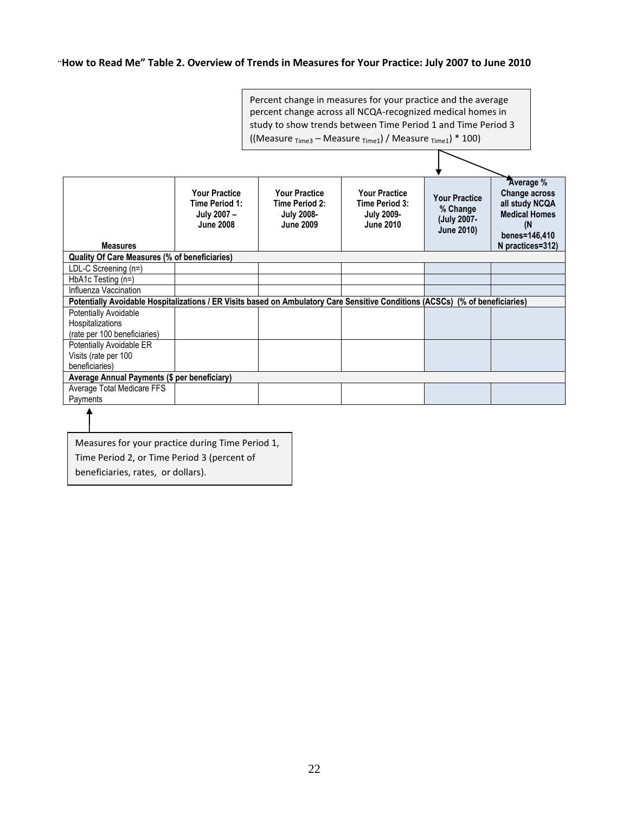#### ―**How to Read Me" Table 2. Overview of Trends in Measures for Your Practice: July 2007 to June 2010**



Measures for your practice during Time Period 1, Time Period 2, or Time Period 3 (percent of beneficiaries, rates, or dollars).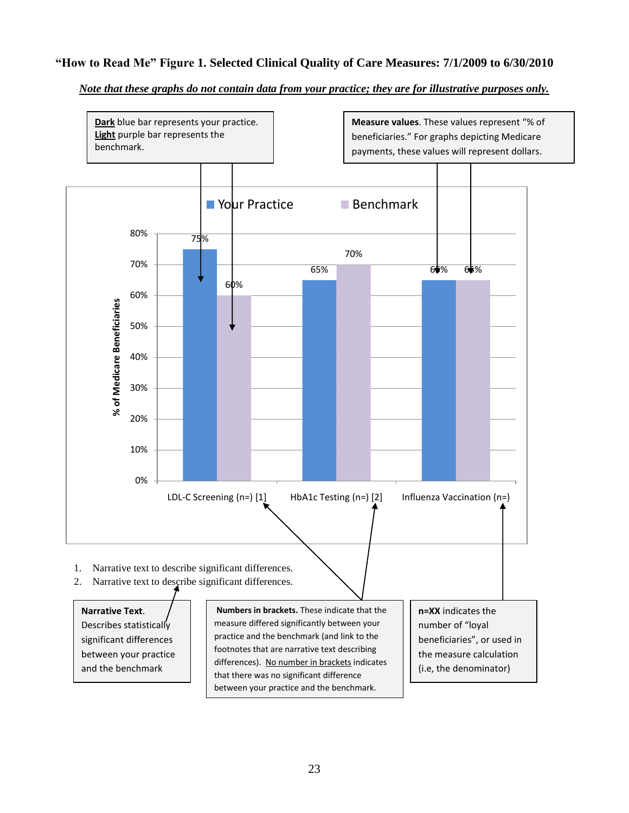# **"How to Read Me" Figure 1. Selected Clinical Quality of Care Measures: 7/1/2009 to 6/30/2010**

#### *Note that these graphs do not contain data from your practice; they are for illustrative purposes only.*

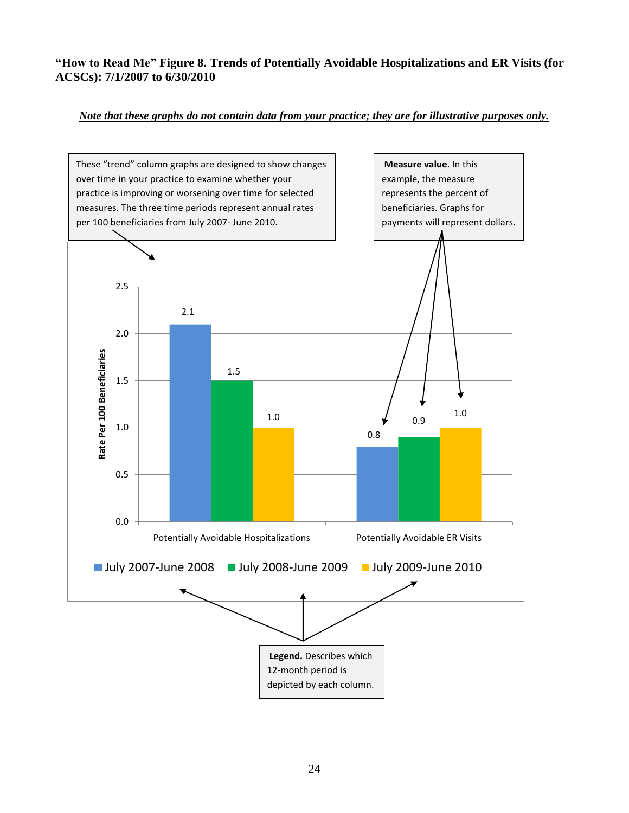# **"How to Read Me" Figure 8. Trends of Potentially Avoidable Hospitalizations and ER Visits (for ACSCs): 7/1/2007 to 6/30/2010**

# *Note that these graphs do not contain data from your practice; they are for illustrative purposes only.*

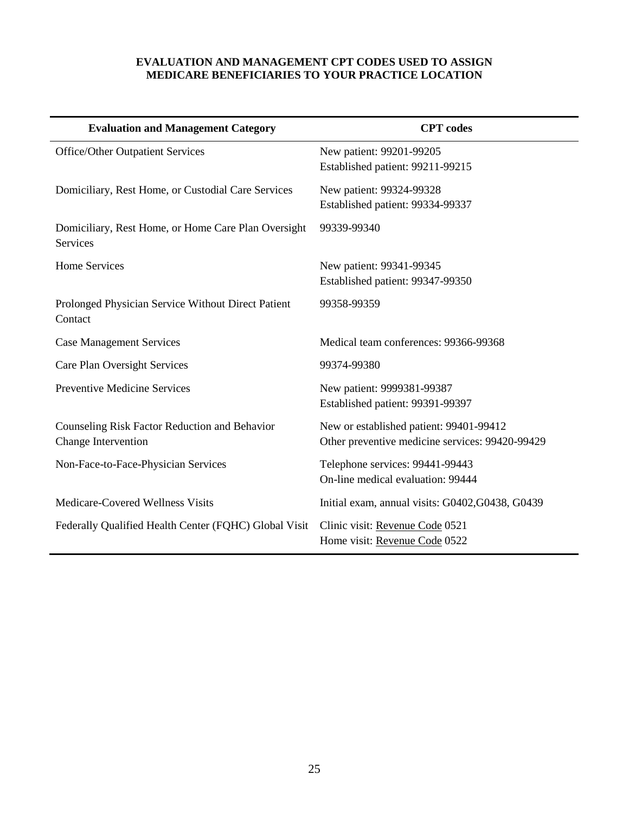### **EVALUATION AND MANAGEMENT CPT CODES USED TO ASSIGN MEDICARE BENEFICIARIES TO YOUR PRACTICE LOCATION**

| <b>Evaluation and Management Category</b>                       | <b>CPT</b> codes                                 |
|-----------------------------------------------------------------|--------------------------------------------------|
| <b>Office/Other Outpatient Services</b>                         | New patient: 99201-99205                         |
|                                                                 | Established patient: 99211-99215                 |
| Domiciliary, Rest Home, or Custodial Care Services              | New patient: 99324-99328                         |
|                                                                 | Established patient: 99334-99337                 |
| Domiciliary, Rest Home, or Home Care Plan Oversight<br>Services | 99339-99340                                      |
| <b>Home Services</b>                                            | New patient: 99341-99345                         |
|                                                                 | Established patient: 99347-99350                 |
| Prolonged Physician Service Without Direct Patient<br>Contact   | 99358-99359                                      |
| <b>Case Management Services</b>                                 | Medical team conferences: 99366-99368            |
| Care Plan Oversight Services                                    | 99374-99380                                      |
| <b>Preventive Medicine Services</b>                             | New patient: 9999381-99387                       |
|                                                                 | Established patient: 99391-99397                 |
| Counseling Risk Factor Reduction and Behavior                   | New or established patient: 99401-99412          |
| Change Intervention                                             | Other preventive medicine services: 99420-99429  |
| Non-Face-to-Face-Physician Services                             | Telephone services: 99441-99443                  |
|                                                                 | On-line medical evaluation: 99444                |
| Medicare-Covered Wellness Visits                                | Initial exam, annual visits: G0402, G0438, G0439 |
| Federally Qualified Health Center (FQHC) Global Visit           | Clinic visit: Revenue Code 0521                  |
|                                                                 | Home visit: Revenue Code 0522                    |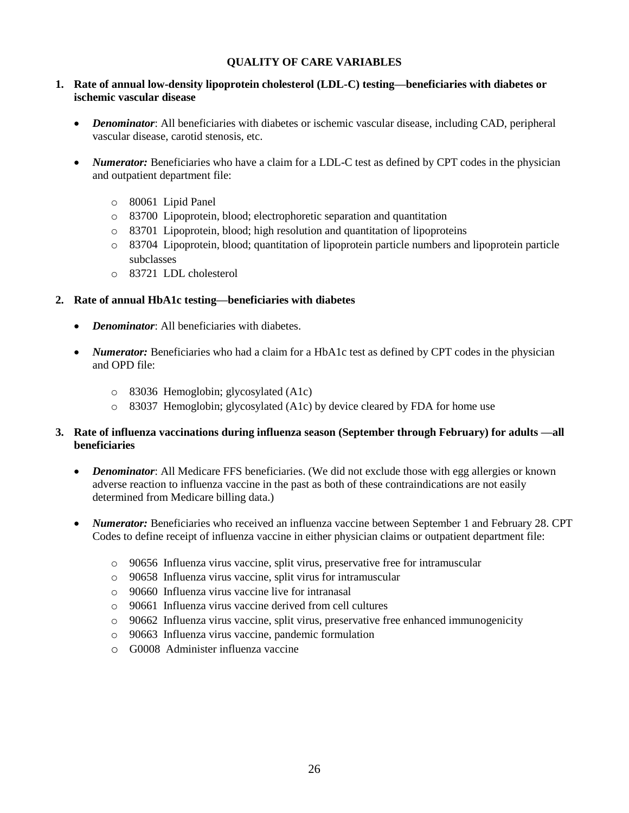## **QUALITY OF CARE VARIABLES**

#### **1. Rate of annual low-density lipoprotein cholesterol (LDL-C) testing—beneficiaries with diabetes or ischemic vascular disease**

- *Denominator*: All beneficiaries with diabetes or ischemic vascular disease, including CAD, peripheral vascular disease, carotid stenosis, etc.
- *Numerator:* Beneficiaries who have a claim for a LDL-C test as defined by CPT codes in the physician and outpatient department file:
	- o 80061 Lipid Panel
	- o 83700 Lipoprotein, blood; electrophoretic separation and quantitation
	- o 83701 Lipoprotein, blood; high resolution and quantitation of lipoproteins
	- o 83704 Lipoprotein, blood; quantitation of lipoprotein particle numbers and lipoprotein particle subclasses
	- o 83721 LDL cholesterol

#### **2. Rate of annual HbA1c testing—beneficiaries with diabetes**

- *Denominator*: All beneficiaries with diabetes.
- *Numerator:* Beneficiaries who had a claim for a HbA1c test as defined by CPT codes in the physician and OPD file:
	- o 83036 Hemoglobin; glycosylated (A1c)
	- o 83037 Hemoglobin; glycosylated (A1c) by device cleared by FDA for home use

#### **3. Rate of influenza vaccinations during influenza season (September through February) for adults —all beneficiaries**

- *Denominator*: All Medicare FFS beneficiaries. (We did not exclude those with egg allergies or known adverse reaction to influenza vaccine in the past as both of these contraindications are not easily determined from Medicare billing data.)
- *Numerator:* Beneficiaries who received an influenza vaccine between September 1 and February 28. CPT Codes to define receipt of influenza vaccine in either physician claims or outpatient department file:
	- o 90656 Influenza virus vaccine, split virus, preservative free for intramuscular
	- o 90658 Influenza virus vaccine, split virus for intramuscular
	- o 90660 Influenza virus vaccine live for intranasal
	- o 90661 Influenza virus vaccine derived from cell cultures
	- o 90662 Influenza virus vaccine, split virus, preservative free enhanced immunogenicity
	- o 90663 Influenza virus vaccine, pandemic formulation
	- o G0008 Administer influenza vaccine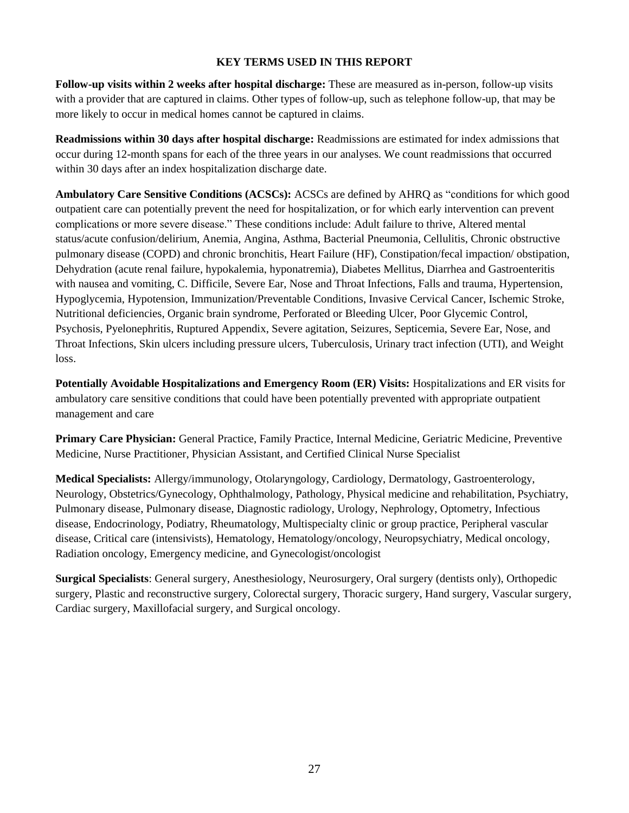## **KEY TERMS USED IN THIS REPORT**

**Follow-up visits within 2 weeks after hospital discharge:** These are measured as in-person, follow-up visits with a provider that are captured in claims. Other types of follow-up, such as telephone follow-up, that may be more likely to occur in medical homes cannot be captured in claims.

**Readmissions within 30 days after hospital discharge:** Readmissions are estimated for index admissions that occur during 12-month spans for each of the three years in our analyses. We count readmissions that occurred within 30 days after an index hospitalization discharge date.

**Ambulatory Care Sensitive Conditions (ACSCs):** ACSCs are defined by AHRQ as "conditions for which good outpatient care can potentially prevent the need for hospitalization, or for which early intervention can prevent complications or more severe disease." These conditions include: Adult failure to thrive, Altered mental status/acute confusion/delirium, Anemia, Angina, Asthma, Bacterial Pneumonia, Cellulitis, Chronic obstructive pulmonary disease (COPD) and chronic bronchitis, Heart Failure (HF), Constipation/fecal impaction/ obstipation, Dehydration (acute renal failure, hypokalemia, hyponatremia), Diabetes Mellitus, Diarrhea and Gastroenteritis with nausea and vomiting, C. Difficile, Severe Ear, Nose and Throat Infections, Falls and trauma, Hypertension, Hypoglycemia, Hypotension, Immunization/Preventable Conditions, Invasive Cervical Cancer, Ischemic Stroke, Nutritional deficiencies, Organic brain syndrome, Perforated or Bleeding Ulcer, Poor Glycemic Control, Psychosis, Pyelonephritis, Ruptured Appendix, Severe agitation, Seizures, Septicemia, Severe Ear, Nose, and Throat Infections, Skin ulcers including pressure ulcers, Tuberculosis, Urinary tract infection (UTI), and Weight loss.

**Potentially Avoidable Hospitalizations and Emergency Room (ER) Visits:** Hospitalizations and ER visits for ambulatory care sensitive conditions that could have been potentially prevented with appropriate outpatient management and care

**Primary Care Physician:** General Practice, Family Practice, Internal Medicine, Geriatric Medicine, Preventive Medicine, Nurse Practitioner, Physician Assistant, and Certified Clinical Nurse Specialist

**Medical Specialists:** Allergy/immunology, Otolaryngology, Cardiology, Dermatology, Gastroenterology, Neurology, Obstetrics/Gynecology, Ophthalmology, Pathology, Physical medicine and rehabilitation, Psychiatry, Pulmonary disease, Pulmonary disease, Diagnostic radiology, Urology, Nephrology, Optometry, Infectious disease, Endocrinology, Podiatry, Rheumatology, Multispecialty clinic or group practice, Peripheral vascular disease, Critical care (intensivists), Hematology, Hematology/oncology, Neuropsychiatry, Medical oncology, Radiation oncology, Emergency medicine, and Gynecologist/oncologist

**Surgical Specialists**: General surgery, Anesthesiology, Neurosurgery, Oral surgery (dentists only), Orthopedic surgery, Plastic and reconstructive surgery, Colorectal surgery, Thoracic surgery, Hand surgery, Vascular surgery, Cardiac surgery, Maxillofacial surgery, and Surgical oncology.